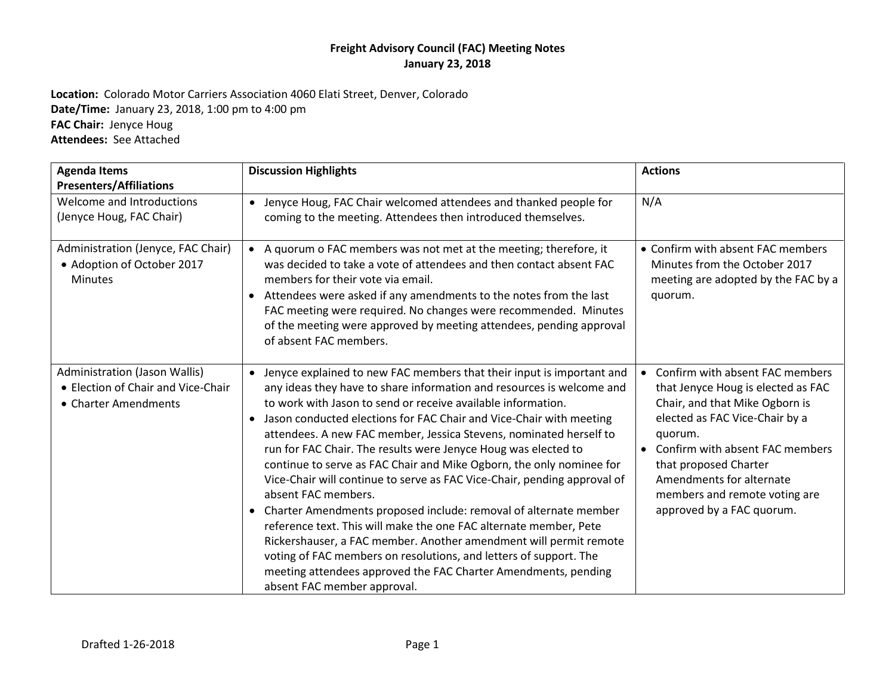**Location:** Colorado Motor Carriers Association 4060 Elati Street, Denver, Colorado **Date/Time:** January 23, 2018, 1:00 pm to 4:00 pm **FAC Chair:** Jenyce Houg **Attendees:** See Attached

| <b>Agenda Items</b><br><b>Presenters/Affiliations</b>                                       | <b>Discussion Highlights</b>                                                                                                                                                                                                                                                                                                                                                                                                                                                                                                                                                                                                                                                                                                                                                                                                                                                                                                                                                                                  | <b>Actions</b>                                                                                                                                                                                                                                                                                                 |
|---------------------------------------------------------------------------------------------|---------------------------------------------------------------------------------------------------------------------------------------------------------------------------------------------------------------------------------------------------------------------------------------------------------------------------------------------------------------------------------------------------------------------------------------------------------------------------------------------------------------------------------------------------------------------------------------------------------------------------------------------------------------------------------------------------------------------------------------------------------------------------------------------------------------------------------------------------------------------------------------------------------------------------------------------------------------------------------------------------------------|----------------------------------------------------------------------------------------------------------------------------------------------------------------------------------------------------------------------------------------------------------------------------------------------------------------|
| Welcome and Introductions<br>(Jenyce Houg, FAC Chair)                                       | • Jenyce Houg, FAC Chair welcomed attendees and thanked people for<br>coming to the meeting. Attendees then introduced themselves.                                                                                                                                                                                                                                                                                                                                                                                                                                                                                                                                                                                                                                                                                                                                                                                                                                                                            | N/A                                                                                                                                                                                                                                                                                                            |
| Administration (Jenyce, FAC Chair)<br>• Adoption of October 2017<br><b>Minutes</b>          | • A quorum o FAC members was not met at the meeting; therefore, it<br>was decided to take a vote of attendees and then contact absent FAC<br>members for their vote via email.<br>Attendees were asked if any amendments to the notes from the last<br>$\bullet$<br>FAC meeting were required. No changes were recommended. Minutes<br>of the meeting were approved by meeting attendees, pending approval<br>of absent FAC members.                                                                                                                                                                                                                                                                                                                                                                                                                                                                                                                                                                          | • Confirm with absent FAC members<br>Minutes from the October 2017<br>meeting are adopted by the FAC by a<br>quorum.                                                                                                                                                                                           |
| Administration (Jason Wallis)<br>• Election of Chair and Vice-Chair<br>• Charter Amendments | Jenyce explained to new FAC members that their input is important and<br>$\bullet$<br>any ideas they have to share information and resources is welcome and<br>to work with Jason to send or receive available information.<br>• Jason conducted elections for FAC Chair and Vice-Chair with meeting<br>attendees. A new FAC member, Jessica Stevens, nominated herself to<br>run for FAC Chair. The results were Jenyce Houg was elected to<br>continue to serve as FAC Chair and Mike Ogborn, the only nominee for<br>Vice-Chair will continue to serve as FAC Vice-Chair, pending approval of<br>absent FAC members.<br>• Charter Amendments proposed include: removal of alternate member<br>reference text. This will make the one FAC alternate member, Pete<br>Rickershauser, a FAC member. Another amendment will permit remote<br>voting of FAC members on resolutions, and letters of support. The<br>meeting attendees approved the FAC Charter Amendments, pending<br>absent FAC member approval. | • Confirm with absent FAC members<br>that Jenyce Houg is elected as FAC<br>Chair, and that Mike Ogborn is<br>elected as FAC Vice-Chair by a<br>quorum.<br>• Confirm with absent FAC members<br>that proposed Charter<br>Amendments for alternate<br>members and remote voting are<br>approved by a FAC quorum. |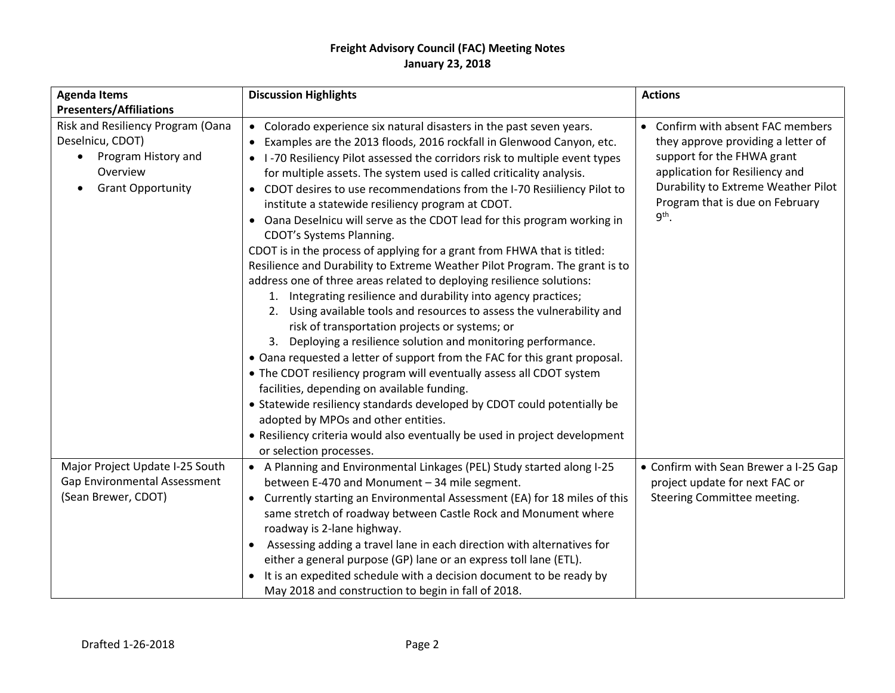| <b>Agenda Items</b><br><b>Presenters/Affiliations</b>                                                                | <b>Discussion Highlights</b>                                                                                                                                                                                                                                                                                                                                                                                                                                                                                                                                                                                                                                                                                                                                                                                                                                                                                                                                                                                                                                                                                                                                                                                                                                                                                                                                                                                                                                                           | <b>Actions</b>                                                                                                                                                                                                               |  |
|----------------------------------------------------------------------------------------------------------------------|----------------------------------------------------------------------------------------------------------------------------------------------------------------------------------------------------------------------------------------------------------------------------------------------------------------------------------------------------------------------------------------------------------------------------------------------------------------------------------------------------------------------------------------------------------------------------------------------------------------------------------------------------------------------------------------------------------------------------------------------------------------------------------------------------------------------------------------------------------------------------------------------------------------------------------------------------------------------------------------------------------------------------------------------------------------------------------------------------------------------------------------------------------------------------------------------------------------------------------------------------------------------------------------------------------------------------------------------------------------------------------------------------------------------------------------------------------------------------------------|------------------------------------------------------------------------------------------------------------------------------------------------------------------------------------------------------------------------------|--|
| Risk and Resiliency Program (Oana<br>Deselnicu, CDOT)<br>Program History and<br>Overview<br><b>Grant Opportunity</b> | • Colorado experience six natural disasters in the past seven years.<br>• Examples are the 2013 floods, 2016 rockfall in Glenwood Canyon, etc.<br>• I-70 Resiliency Pilot assessed the corridors risk to multiple event types<br>for multiple assets. The system used is called criticality analysis.<br>• CDOT desires to use recommendations from the I-70 Resilliency Pilot to<br>institute a statewide resiliency program at CDOT.<br>• Oana Deselnicu will serve as the CDOT lead for this program working in<br>CDOT's Systems Planning.<br>CDOT is in the process of applying for a grant from FHWA that is titled:<br>Resilience and Durability to Extreme Weather Pilot Program. The grant is to<br>address one of three areas related to deploying resilience solutions:<br>1. Integrating resilience and durability into agency practices;<br>2. Using available tools and resources to assess the vulnerability and<br>risk of transportation projects or systems; or<br>3.<br>Deploying a resilience solution and monitoring performance.<br>• Oana requested a letter of support from the FAC for this grant proposal.<br>• The CDOT resiliency program will eventually assess all CDOT system<br>facilities, depending on available funding.<br>• Statewide resiliency standards developed by CDOT could potentially be<br>adopted by MPOs and other entities.<br>• Resiliency criteria would also eventually be used in project development<br>or selection processes. | • Confirm with absent FAC members<br>they approve providing a letter of<br>support for the FHWA grant<br>application for Resiliency and<br>Durability to Extreme Weather Pilot<br>Program that is due on February<br>$9th$ . |  |
| Major Project Update I-25 South<br>Gap Environmental Assessment<br>(Sean Brewer, CDOT)                               | • A Planning and Environmental Linkages (PEL) Study started along I-25<br>between E-470 and Monument - 34 mile segment.<br>• Currently starting an Environmental Assessment (EA) for 18 miles of this<br>same stretch of roadway between Castle Rock and Monument where<br>roadway is 2-lane highway.<br>Assessing adding a travel lane in each direction with alternatives for<br>either a general purpose (GP) lane or an express toll lane (ETL).<br>It is an expedited schedule with a decision document to be ready by<br>May 2018 and construction to begin in fall of 2018.                                                                                                                                                                                                                                                                                                                                                                                                                                                                                                                                                                                                                                                                                                                                                                                                                                                                                                     | • Confirm with Sean Brewer a I-25 Gap<br>project update for next FAC or<br>Steering Committee meeting.                                                                                                                       |  |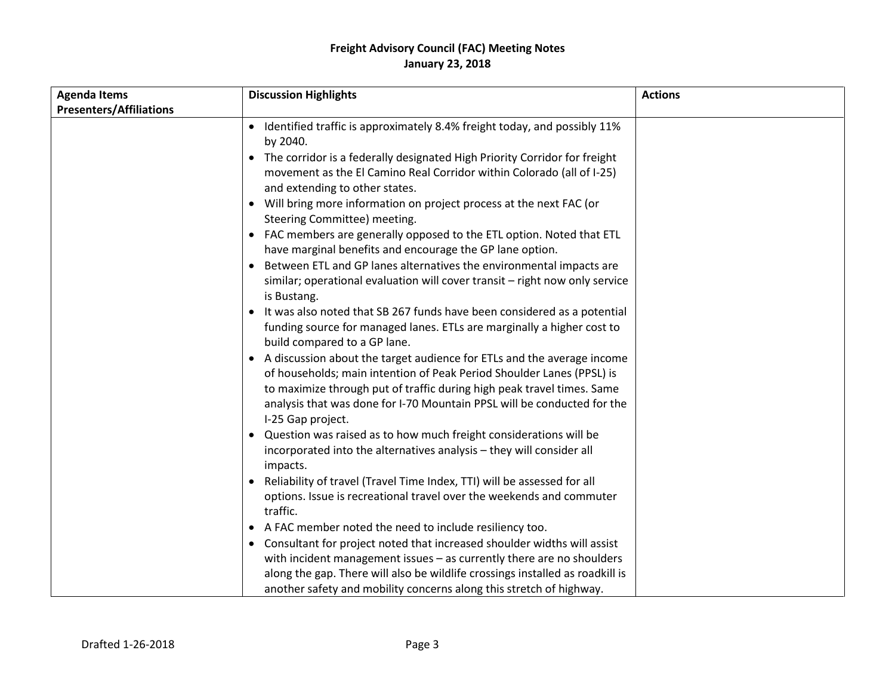| <b>Agenda Items</b>            | <b>Discussion Highlights</b>                                                                                                                                                                                                                                                                                                                                                                                                                                                                                                                                                                                                                                                                                                                                                                                                                                                                                                                                                                                                                                                                                                                                                                               | <b>Actions</b> |
|--------------------------------|------------------------------------------------------------------------------------------------------------------------------------------------------------------------------------------------------------------------------------------------------------------------------------------------------------------------------------------------------------------------------------------------------------------------------------------------------------------------------------------------------------------------------------------------------------------------------------------------------------------------------------------------------------------------------------------------------------------------------------------------------------------------------------------------------------------------------------------------------------------------------------------------------------------------------------------------------------------------------------------------------------------------------------------------------------------------------------------------------------------------------------------------------------------------------------------------------------|----------------|
| <b>Presenters/Affiliations</b> |                                                                                                                                                                                                                                                                                                                                                                                                                                                                                                                                                                                                                                                                                                                                                                                                                                                                                                                                                                                                                                                                                                                                                                                                            |                |
|                                | • Identified traffic is approximately 8.4% freight today, and possibly 11%<br>by 2040.<br>• The corridor is a federally designated High Priority Corridor for freight<br>movement as the El Camino Real Corridor within Colorado (all of I-25)<br>and extending to other states.<br>Will bring more information on project process at the next FAC (or<br>$\bullet$<br>Steering Committee) meeting.<br>FAC members are generally opposed to the ETL option. Noted that ETL<br>have marginal benefits and encourage the GP lane option.<br>Between ETL and GP lanes alternatives the environmental impacts are<br>similar; operational evaluation will cover transit - right now only service<br>is Bustang.<br>It was also noted that SB 267 funds have been considered as a potential<br>funding source for managed lanes. ETLs are marginally a higher cost to<br>build compared to a GP lane.<br>• A discussion about the target audience for ETLs and the average income<br>of households; main intention of Peak Period Shoulder Lanes (PPSL) is<br>to maximize through put of traffic during high peak travel times. Same<br>analysis that was done for I-70 Mountain PPSL will be conducted for the |                |
|                                | I-25 Gap project.<br>Question was raised as to how much freight considerations will be<br>$\bullet$<br>incorporated into the alternatives analysis - they will consider all<br>impacts.<br>Reliability of travel (Travel Time Index, TTI) will be assessed for all<br>options. Issue is recreational travel over the weekends and commuter<br>traffic.<br>A FAC member noted the need to include resiliency too.<br>Consultant for project noted that increased shoulder widths will assist<br>with incident management issues $-$ as currently there are no shoulders<br>along the gap. There will also be wildlife crossings installed as roadkill is<br>another safety and mobility concerns along this stretch of highway.                                                                                                                                                                                                                                                                                                                                                                                                                                                                             |                |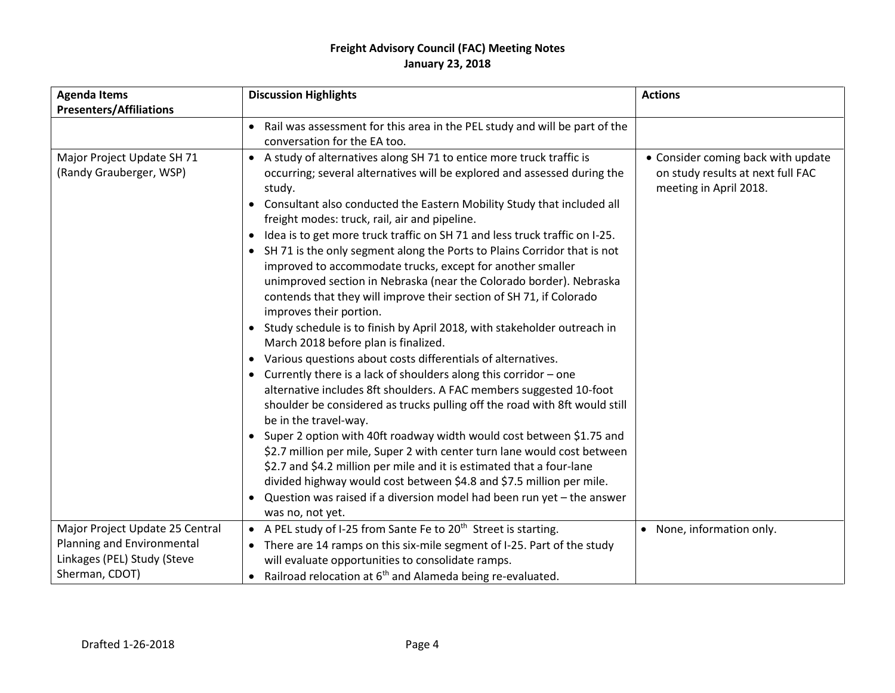| <b>Agenda Items</b>                                   | <b>Discussion Highlights</b>                                                                                                                                                                                                                                                                                                                                                                                                                                                                                                                                                                                                                                                                                                                                                                                                                                                                                                                                                                                                                                                                                                                                                                                                                                                                                                                                                                                                                                                                                                                                        | <b>Actions</b>                                                                                    |  |
|-------------------------------------------------------|---------------------------------------------------------------------------------------------------------------------------------------------------------------------------------------------------------------------------------------------------------------------------------------------------------------------------------------------------------------------------------------------------------------------------------------------------------------------------------------------------------------------------------------------------------------------------------------------------------------------------------------------------------------------------------------------------------------------------------------------------------------------------------------------------------------------------------------------------------------------------------------------------------------------------------------------------------------------------------------------------------------------------------------------------------------------------------------------------------------------------------------------------------------------------------------------------------------------------------------------------------------------------------------------------------------------------------------------------------------------------------------------------------------------------------------------------------------------------------------------------------------------------------------------------------------------|---------------------------------------------------------------------------------------------------|--|
| <b>Presenters/Affiliations</b>                        |                                                                                                                                                                                                                                                                                                                                                                                                                                                                                                                                                                                                                                                                                                                                                                                                                                                                                                                                                                                                                                                                                                                                                                                                                                                                                                                                                                                                                                                                                                                                                                     |                                                                                                   |  |
|                                                       | • Rail was assessment for this area in the PEL study and will be part of the<br>conversation for the EA too.                                                                                                                                                                                                                                                                                                                                                                                                                                                                                                                                                                                                                                                                                                                                                                                                                                                                                                                                                                                                                                                                                                                                                                                                                                                                                                                                                                                                                                                        |                                                                                                   |  |
| Major Project Update SH 71<br>(Randy Grauberger, WSP) | • A study of alternatives along SH 71 to entice more truck traffic is<br>occurring; several alternatives will be explored and assessed during the<br>study.<br>Consultant also conducted the Eastern Mobility Study that included all<br>$\bullet$<br>freight modes: truck, rail, air and pipeline.<br>Idea is to get more truck traffic on SH 71 and less truck traffic on I-25.<br>$\bullet$<br>• SH 71 is the only segment along the Ports to Plains Corridor that is not<br>improved to accommodate trucks, except for another smaller<br>unimproved section in Nebraska (near the Colorado border). Nebraska<br>contends that they will improve their section of SH 71, if Colorado<br>improves their portion.<br>• Study schedule is to finish by April 2018, with stakeholder outreach in<br>March 2018 before plan is finalized.<br>Various questions about costs differentials of alternatives.<br>$\bullet$<br>Currently there is a lack of shoulders along this corridor - one<br>$\bullet$<br>alternative includes 8ft shoulders. A FAC members suggested 10-foot<br>shoulder be considered as trucks pulling off the road with 8ft would still<br>be in the travel-way.<br>Super 2 option with 40ft roadway width would cost between \$1.75 and<br>\$2.7 million per mile, Super 2 with center turn lane would cost between<br>\$2.7 and \$4.2 million per mile and it is estimated that a four-lane<br>divided highway would cost between \$4.8 and \$7.5 million per mile.<br>Question was raised if a diversion model had been run yet - the answer | • Consider coming back with update<br>on study results at next full FAC<br>meeting in April 2018. |  |
| Major Project Update 25 Central                       | was no, not yet.<br>• A PEL study of I-25 from Sante Fe to 20 <sup>th</sup> Street is starting.                                                                                                                                                                                                                                                                                                                                                                                                                                                                                                                                                                                                                                                                                                                                                                                                                                                                                                                                                                                                                                                                                                                                                                                                                                                                                                                                                                                                                                                                     | • None, information only.                                                                         |  |
| Planning and Environmental                            | • There are 14 ramps on this six-mile segment of I-25. Part of the study                                                                                                                                                                                                                                                                                                                                                                                                                                                                                                                                                                                                                                                                                                                                                                                                                                                                                                                                                                                                                                                                                                                                                                                                                                                                                                                                                                                                                                                                                            |                                                                                                   |  |
| Linkages (PEL) Study (Steve                           | will evaluate opportunities to consolidate ramps.                                                                                                                                                                                                                                                                                                                                                                                                                                                                                                                                                                                                                                                                                                                                                                                                                                                                                                                                                                                                                                                                                                                                                                                                                                                                                                                                                                                                                                                                                                                   |                                                                                                   |  |
| Sherman, CDOT)                                        | Railroad relocation at 6 <sup>th</sup> and Alameda being re-evaluated.                                                                                                                                                                                                                                                                                                                                                                                                                                                                                                                                                                                                                                                                                                                                                                                                                                                                                                                                                                                                                                                                                                                                                                                                                                                                                                                                                                                                                                                                                              |                                                                                                   |  |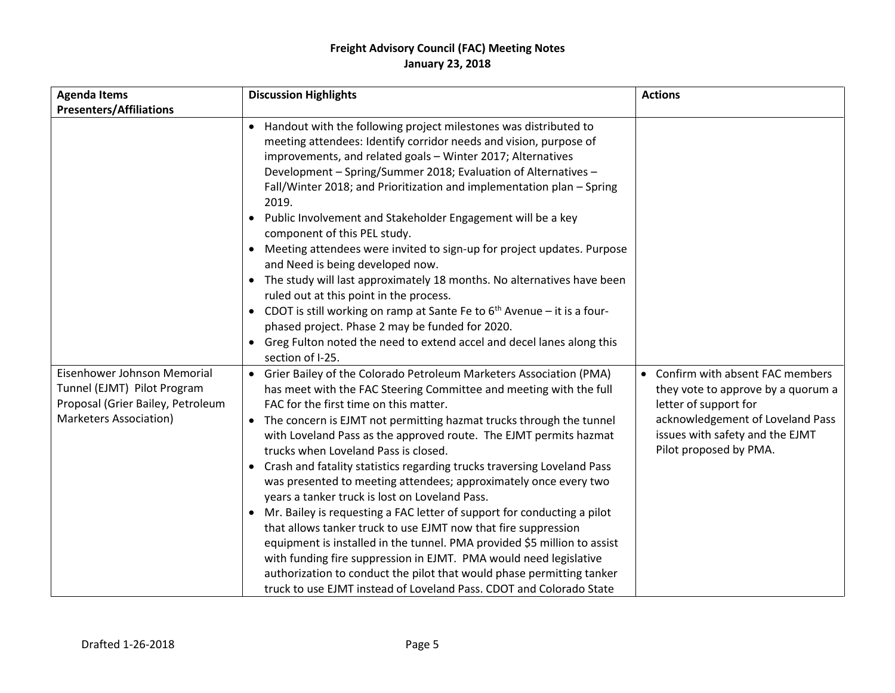| <b>Agenda Items</b>                                                                                                              | <b>Discussion Highlights</b>                                                                                                                                                                                                                                                                                                                                                                                                                                                                                                                                                                                                                                                                                                                                                                                                                                                                                                                                                                                                  | <b>Actions</b>                                                                                                                                                                                    |
|----------------------------------------------------------------------------------------------------------------------------------|-------------------------------------------------------------------------------------------------------------------------------------------------------------------------------------------------------------------------------------------------------------------------------------------------------------------------------------------------------------------------------------------------------------------------------------------------------------------------------------------------------------------------------------------------------------------------------------------------------------------------------------------------------------------------------------------------------------------------------------------------------------------------------------------------------------------------------------------------------------------------------------------------------------------------------------------------------------------------------------------------------------------------------|---------------------------------------------------------------------------------------------------------------------------------------------------------------------------------------------------|
| <b>Presenters/Affiliations</b>                                                                                                   |                                                                                                                                                                                                                                                                                                                                                                                                                                                                                                                                                                                                                                                                                                                                                                                                                                                                                                                                                                                                                               |                                                                                                                                                                                                   |
|                                                                                                                                  | • Handout with the following project milestones was distributed to<br>meeting attendees: Identify corridor needs and vision, purpose of<br>improvements, and related goals - Winter 2017; Alternatives<br>Development - Spring/Summer 2018; Evaluation of Alternatives -<br>Fall/Winter 2018; and Prioritization and implementation plan - Spring<br>2019.<br>Public Involvement and Stakeholder Engagement will be a key<br>$\bullet$<br>component of this PEL study.<br>Meeting attendees were invited to sign-up for project updates. Purpose<br>$\bullet$<br>and Need is being developed now.<br>• The study will last approximately 18 months. No alternatives have been<br>ruled out at this point in the process.<br>• CDOT is still working on ramp at Sante Fe to $6th$ Avenue – it is a four-<br>phased project. Phase 2 may be funded for 2020.<br>• Greg Fulton noted the need to extend accel and decel lanes along this<br>section of I-25.                                                                     |                                                                                                                                                                                                   |
| Eisenhower Johnson Memorial<br>Tunnel (EJMT) Pilot Program<br>Proposal (Grier Bailey, Petroleum<br><b>Marketers Association)</b> | • Grier Bailey of the Colorado Petroleum Marketers Association (PMA)<br>has meet with the FAC Steering Committee and meeting with the full<br>FAC for the first time on this matter.<br>• The concern is EJMT not permitting hazmat trucks through the tunnel<br>with Loveland Pass as the approved route. The EJMT permits hazmat<br>trucks when Loveland Pass is closed.<br>• Crash and fatality statistics regarding trucks traversing Loveland Pass<br>was presented to meeting attendees; approximately once every two<br>years a tanker truck is lost on Loveland Pass.<br>• Mr. Bailey is requesting a FAC letter of support for conducting a pilot<br>that allows tanker truck to use EJMT now that fire suppression<br>equipment is installed in the tunnel. PMA provided \$5 million to assist<br>with funding fire suppression in EJMT. PMA would need legislative<br>authorization to conduct the pilot that would phase permitting tanker<br>truck to use EJMT instead of Loveland Pass. CDOT and Colorado State | • Confirm with absent FAC members<br>they vote to approve by a quorum a<br>letter of support for<br>acknowledgement of Loveland Pass<br>issues with safety and the EJMT<br>Pilot proposed by PMA. |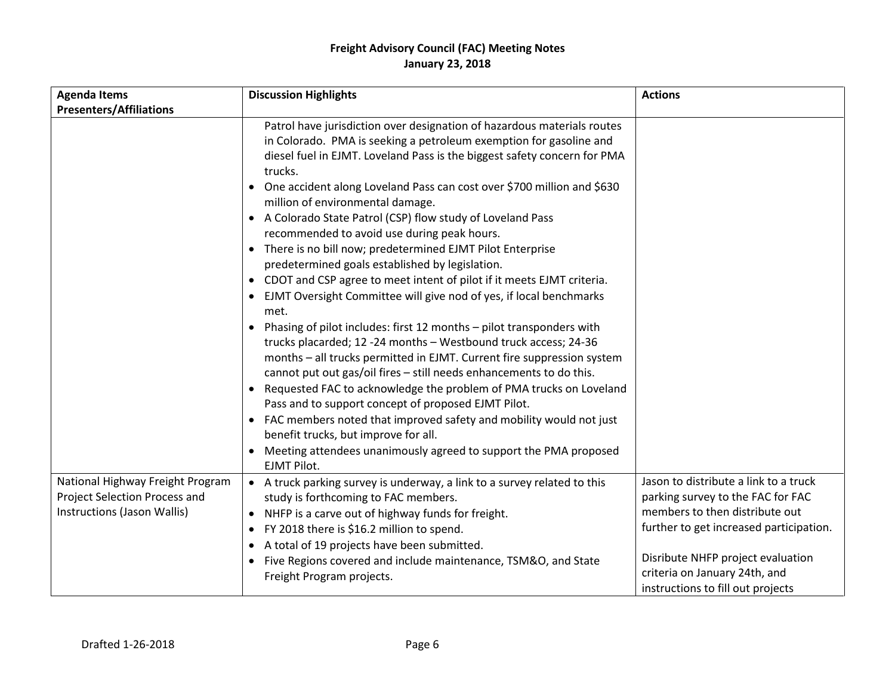| <b>Agenda Items</b>                                                                              | <b>Discussion Highlights</b>                                                                                                                                                                                                                                                                                                                                                                                                                                                                                                                                                                                                                                                                                                                                                                                                                                                                                                                                                                                                                                                                                                                                                                                                                                                                                                                                                           | <b>Actions</b>                                                                                                                                                                                                                                                     |
|--------------------------------------------------------------------------------------------------|----------------------------------------------------------------------------------------------------------------------------------------------------------------------------------------------------------------------------------------------------------------------------------------------------------------------------------------------------------------------------------------------------------------------------------------------------------------------------------------------------------------------------------------------------------------------------------------------------------------------------------------------------------------------------------------------------------------------------------------------------------------------------------------------------------------------------------------------------------------------------------------------------------------------------------------------------------------------------------------------------------------------------------------------------------------------------------------------------------------------------------------------------------------------------------------------------------------------------------------------------------------------------------------------------------------------------------------------------------------------------------------|--------------------------------------------------------------------------------------------------------------------------------------------------------------------------------------------------------------------------------------------------------------------|
| <b>Presenters/Affiliations</b>                                                                   |                                                                                                                                                                                                                                                                                                                                                                                                                                                                                                                                                                                                                                                                                                                                                                                                                                                                                                                                                                                                                                                                                                                                                                                                                                                                                                                                                                                        |                                                                                                                                                                                                                                                                    |
|                                                                                                  | Patrol have jurisdiction over designation of hazardous materials routes<br>in Colorado. PMA is seeking a petroleum exemption for gasoline and<br>diesel fuel in EJMT. Loveland Pass is the biggest safety concern for PMA<br>trucks.<br>• One accident along Loveland Pass can cost over \$700 million and \$630<br>million of environmental damage.<br>• A Colorado State Patrol (CSP) flow study of Loveland Pass<br>recommended to avoid use during peak hours.<br>• There is no bill now; predetermined EJMT Pilot Enterprise<br>predetermined goals established by legislation.<br>• CDOT and CSP agree to meet intent of pilot if it meets EJMT criteria.<br>EJMT Oversight Committee will give nod of yes, if local benchmarks<br>met.<br>Phasing of pilot includes: first 12 months - pilot transponders with<br>$\bullet$<br>trucks placarded; 12 -24 months - Westbound truck access; 24-36<br>months - all trucks permitted in EJMT. Current fire suppression system<br>cannot put out gas/oil fires - still needs enhancements to do this.<br>Requested FAC to acknowledge the problem of PMA trucks on Loveland<br>Pass and to support concept of proposed EJMT Pilot.<br>• FAC members noted that improved safety and mobility would not just<br>benefit trucks, but improve for all.<br>Meeting attendees unanimously agreed to support the PMA proposed<br>EJMT Pilot. |                                                                                                                                                                                                                                                                    |
| National Highway Freight Program<br>Project Selection Process and<br>Instructions (Jason Wallis) | • A truck parking survey is underway, a link to a survey related to this<br>study is forthcoming to FAC members.<br>• NHFP is a carve out of highway funds for freight.<br>FY 2018 there is \$16.2 million to spend.<br>• A total of 19 projects have been submitted.<br>Five Regions covered and include maintenance, TSM&O, and State<br>Freight Program projects.                                                                                                                                                                                                                                                                                                                                                                                                                                                                                                                                                                                                                                                                                                                                                                                                                                                                                                                                                                                                                   | Jason to distribute a link to a truck<br>parking survey to the FAC for FAC<br>members to then distribute out<br>further to get increased participation.<br>Disribute NHFP project evaluation<br>criteria on January 24th, and<br>instructions to fill out projects |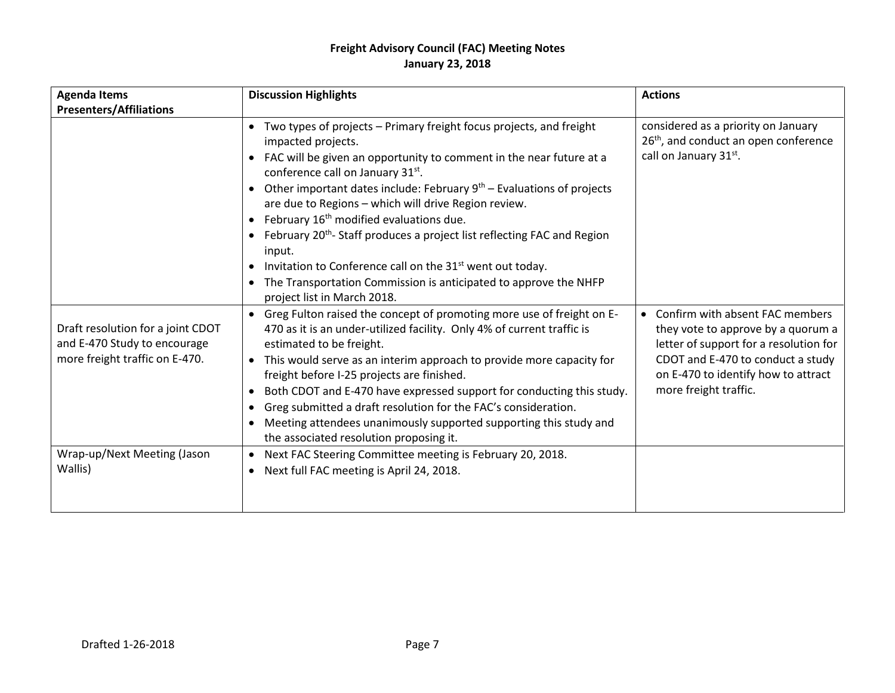| <b>Agenda Items</b><br><b>Presenters/Affiliations</b>                                               | <b>Discussion Highlights</b>                                                                                                                                                                                                                                                                                                                                                                                                                                                                                                                                                                                                                                             | <b>Actions</b>                                                                                                                                                                                                         |
|-----------------------------------------------------------------------------------------------------|--------------------------------------------------------------------------------------------------------------------------------------------------------------------------------------------------------------------------------------------------------------------------------------------------------------------------------------------------------------------------------------------------------------------------------------------------------------------------------------------------------------------------------------------------------------------------------------------------------------------------------------------------------------------------|------------------------------------------------------------------------------------------------------------------------------------------------------------------------------------------------------------------------|
|                                                                                                     | • Two types of projects - Primary freight focus projects, and freight<br>impacted projects.<br>FAC will be given an opportunity to comment in the near future at a<br>conference call on January 31st.<br>• Other important dates include: February $9th$ – Evaluations of projects<br>are due to Regions - which will drive Region review.<br>• February $16th$ modified evaluations due.<br>• February 20 <sup>th</sup> -Staff produces a project list reflecting FAC and Region<br>input.<br>Invitation to Conference call on the 31 <sup>st</sup> went out today.<br>The Transportation Commission is anticipated to approve the NHFP<br>project list in March 2018. | considered as a priority on January<br>26 <sup>th</sup> , and conduct an open conference<br>call on January 31st.                                                                                                      |
| Draft resolution for a joint CDOT<br>and E-470 Study to encourage<br>more freight traffic on E-470. | • Greg Fulton raised the concept of promoting more use of freight on E-<br>470 as it is an under-utilized facility. Only 4% of current traffic is<br>estimated to be freight.<br>• This would serve as an interim approach to provide more capacity for<br>freight before I-25 projects are finished.<br>Both CDOT and E-470 have expressed support for conducting this study.<br>$\bullet$<br>Greg submitted a draft resolution for the FAC's consideration.<br>Meeting attendees unanimously supported supporting this study and<br>$\bullet$<br>the associated resolution proposing it.                                                                               | • Confirm with absent FAC members<br>they vote to approve by a quorum a<br>letter of support for a resolution for<br>CDOT and E-470 to conduct a study<br>on E-470 to identify how to attract<br>more freight traffic. |
| Wrap-up/Next Meeting (Jason<br>Wallis)                                                              | Next FAC Steering Committee meeting is February 20, 2018.<br>$\bullet$<br>Next full FAC meeting is April 24, 2018.<br>$\bullet$                                                                                                                                                                                                                                                                                                                                                                                                                                                                                                                                          |                                                                                                                                                                                                                        |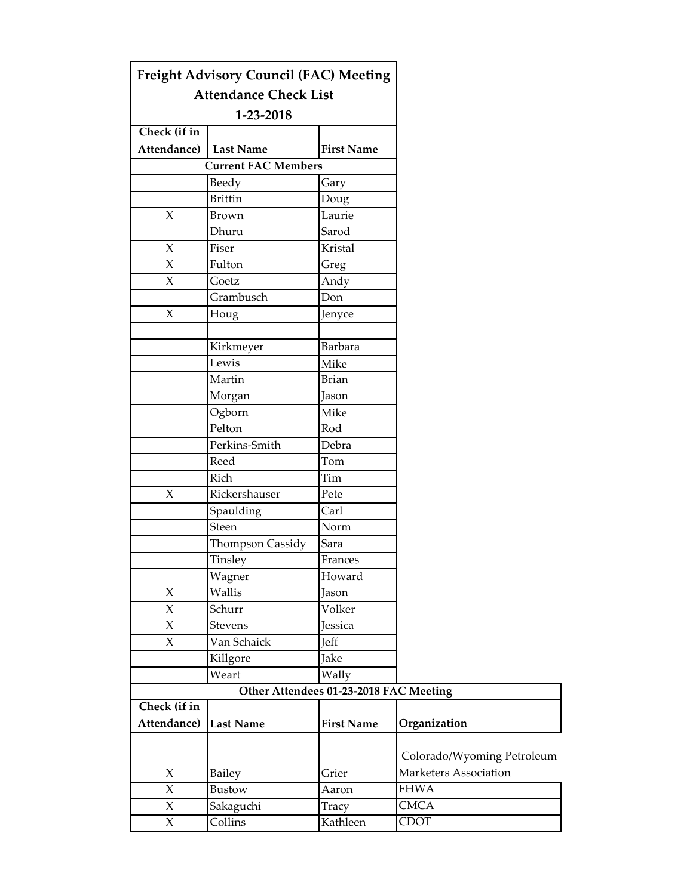|                         | <b>Freight Advisory Council (FAC) Meeting</b> |                                        |                            |
|-------------------------|-----------------------------------------------|----------------------------------------|----------------------------|
|                         | <b>Attendance Check List</b>                  |                                        |                            |
|                         | 1-23-2018                                     |                                        |                            |
| Check (if in            |                                               |                                        |                            |
| Attendance)   Last Name |                                               | <b>First Name</b>                      |                            |
|                         | <b>Current FAC Members</b>                    |                                        |                            |
|                         | Beedy                                         | Gary                                   |                            |
|                         | <b>Brittin</b>                                | Doug                                   |                            |
| $\boldsymbol{\chi}$     | <b>Brown</b>                                  | Laurie                                 |                            |
|                         | Dhuru                                         | Sarod                                  |                            |
| $\boldsymbol{\chi}$     | Fiser                                         | Kristal                                |                            |
| $\chi$                  | Fulton                                        | Greg                                   |                            |
| $\chi$                  | Goetz                                         | Andy                                   |                            |
|                         | Grambusch                                     | Don                                    |                            |
| $\chi$                  | Houg                                          | Jenyce                                 |                            |
|                         | Kirkmeyer                                     | <b>Barbara</b>                         |                            |
|                         | Lewis                                         | Mike                                   |                            |
|                         | Martin                                        | <b>Brian</b>                           |                            |
|                         | Morgan                                        | Jason                                  |                            |
|                         | Ogborn                                        | Mike                                   |                            |
|                         | Pelton                                        | Rod                                    |                            |
|                         | Perkins-Smith                                 | Debra                                  |                            |
|                         | Reed                                          | Tom                                    |                            |
|                         | Rich                                          | Tim                                    |                            |
| $\chi$                  | Rickershauser                                 | Pete                                   |                            |
|                         | Spaulding                                     | Carl                                   |                            |
|                         | <b>Steen</b>                                  | Norm                                   |                            |
|                         | Thompson Cassidy                              | Sara                                   |                            |
|                         | Tinsley                                       | Frances                                |                            |
|                         | Wagner                                        | Howard                                 |                            |
| X                       | Wallis                                        | Jason                                  |                            |
| $\chi$                  | Schurr                                        | Volker                                 |                            |
| X                       | <b>Stevens</b>                                | Jessica                                |                            |
| $\boldsymbol{\chi}$     | Van Schaick                                   | Jeff                                   |                            |
|                         | Killgore                                      | Jake                                   |                            |
|                         | Weart                                         | Wally                                  |                            |
|                         |                                               | Other Attendees 01-23-2018 FAC Meeting |                            |
| Check (if in            |                                               |                                        |                            |
| Attendance)             | Last Name                                     | <b>First Name</b>                      | Organization               |
|                         |                                               |                                        | Colorado/Wyoming Petroleum |
| X                       | <b>Bailey</b>                                 | Grier                                  | Marketers Association      |
| $\boldsymbol{\chi}$     | Bustow                                        | Aaron                                  | <b>FHWA</b>                |
| $\chi$                  | Sakaguchi                                     | Tracy                                  | <b>CMCA</b>                |
| $\boldsymbol{\chi}$     | Collins                                       | Kathleen                               | CDOT                       |